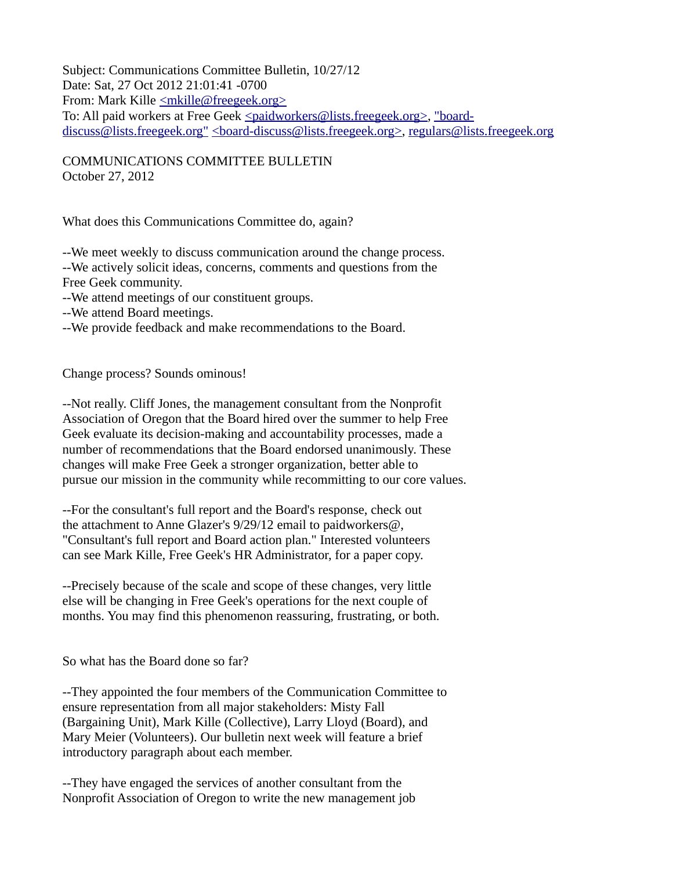Subject: Communications Committee Bulletin, 10/27/12 Date: Sat, 27 Oct 2012 21:01:41 -0700 From: Mark Kille [<mkille@freegeek.org>](mailto:mkille@freegeek.org) To: All paid workers at Free Geek [<paidworkers@lists.freegeek.org>,](mailto:paidworkers@lists.freegeek.org) ["board](mailto:board-discuss@lists.freegeek.org)[discuss@lists.freegeek.org"](mailto:board-discuss@lists.freegeek.org) [<board-discuss@lists.freegeek.org>,](mailto:board-discuss@lists.freegeek.org) [regulars@lists.freegeek.org](mailto:regulars@lists.freegeek.org)

COMMUNICATIONS COMMITTEE BULLETIN October 27, 2012

What does this Communications Committee do, again?

--We meet weekly to discuss communication around the change process. --We actively solicit ideas, concerns, comments and questions from the Free Geek community.

--We attend meetings of our constituent groups.

- --We attend Board meetings.
- --We provide feedback and make recommendations to the Board.

Change process? Sounds ominous!

--Not really. Cliff Jones, the management consultant from the Nonprofit Association of Oregon that the Board hired over the summer to help Free Geek evaluate its decision-making and accountability processes, made a number of recommendations that the Board endorsed unanimously. These changes will make Free Geek a stronger organization, better able to pursue our mission in the community while recommitting to our core values.

--For the consultant's full report and the Board's response, check out the attachment to Anne Glazer's  $9/29/12$  email to paidworkers $\omega$ , "Consultant's full report and Board action plan." Interested volunteers can see Mark Kille, Free Geek's HR Administrator, for a paper copy.

--Precisely because of the scale and scope of these changes, very little else will be changing in Free Geek's operations for the next couple of months. You may find this phenomenon reassuring, frustrating, or both.

So what has the Board done so far?

--They appointed the four members of the Communication Committee to ensure representation from all major stakeholders: Misty Fall (Bargaining Unit), Mark Kille (Collective), Larry Lloyd (Board), and Mary Meier (Volunteers). Our bulletin next week will feature a brief introductory paragraph about each member.

--They have engaged the services of another consultant from the Nonprofit Association of Oregon to write the new management job